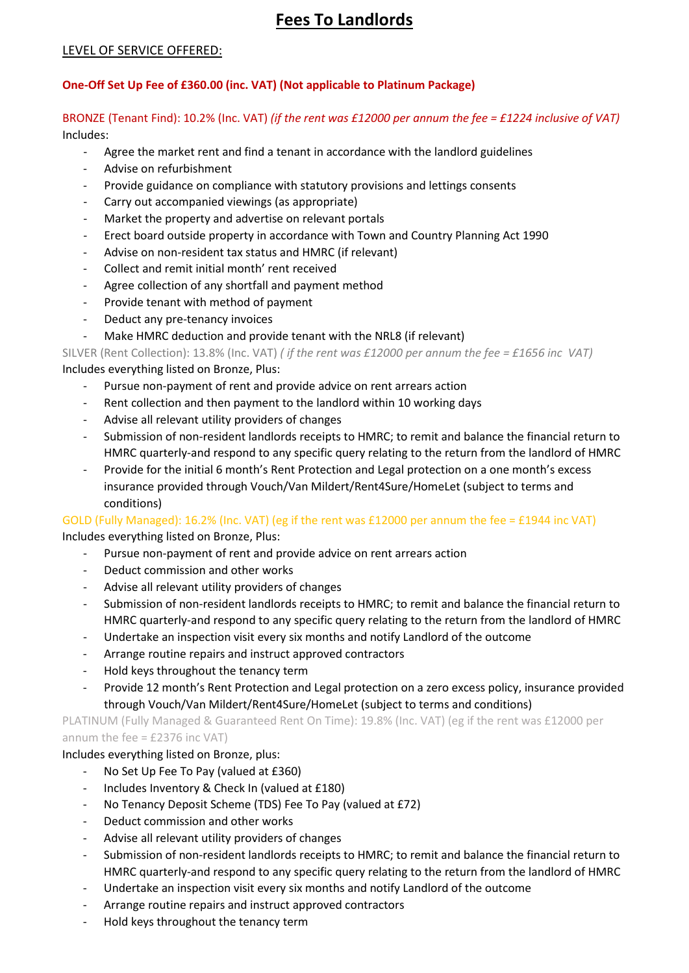# **Fees To Landlords**

#### LEVEL OF SERVICE OFFERED:

#### **One-Off Set Up Fee of £360.00 (inc. VAT) (Not applicable to Platinum Package)**

#### BRONZE (Tenant Find): 10.2% (Inc. VAT) *(if the rent was £12000 per annum the fee = £1224 inclusive of VAT)* Includes:

- Agree the market rent and find a tenant in accordance with the landlord guidelines
- Advise on refurbishment
- Provide guidance on compliance with statutory provisions and lettings consents
- Carry out accompanied viewings (as appropriate)
- Market the property and advertise on relevant portals
- Erect board outside property in accordance with Town and Country Planning Act 1990
- Advise on non-resident tax status and HMRC (if relevant)
- Collect and remit initial month' rent received
- Agree collection of any shortfall and payment method
- Provide tenant with method of payment
- Deduct any pre-tenancy invoices
- Make HMRC deduction and provide tenant with the NRL8 (if relevant)

SILVER (Rent Collection): 13.8% (Inc. VAT) *( if the rent was £12000 per annum the fee = £1656 inc VAT)* Includes everything listed on Bronze, Plus:

- Pursue non-payment of rent and provide advice on rent arrears action
- Rent collection and then payment to the landlord within 10 working days
- Advise all relevant utility providers of changes
- Submission of non-resident landlords receipts to HMRC; to remit and balance the financial return to HMRC quarterly-and respond to any specific query relating to the return from the landlord of HMRC
- Provide for the initial 6 month's Rent Protection and Legal protection on a one month's excess insurance provided through Vouch/Van Mildert/Rent4Sure/HomeLet (subject to terms and conditions)

# GOLD (Fully Managed): 16.2% (Inc. VAT) (eg if the rent was £12000 per annum the fee = £1944 inc VAT)

Includes everything listed on Bronze, Plus:

- Pursue non-payment of rent and provide advice on rent arrears action
- Deduct commission and other works
- Advise all relevant utility providers of changes
- Submission of non-resident landlords receipts to HMRC; to remit and balance the financial return to HMRC quarterly-and respond to any specific query relating to the return from the landlord of HMRC
- Undertake an inspection visit every six months and notify Landlord of the outcome
- Arrange routine repairs and instruct approved contractors
- Hold keys throughout the tenancy term
- Provide 12 month's Rent Protection and Legal protection on a zero excess policy, insurance provided through Vouch/Van Mildert/Rent4Sure/HomeLet (subject to terms and conditions)

PLATINUM (Fully Managed & Guaranteed Rent On Time): 19.8% (Inc. VAT) (eg if the rent was £12000 per annum the fee = £2376 inc VAT)

#### Includes everything listed on Bronze, plus:

- No Set Up Fee To Pay (valued at £360)
- Includes Inventory & Check In (valued at £180)
- No Tenancy Deposit Scheme (TDS) Fee To Pay (valued at £72)
- Deduct commission and other works
- Advise all relevant utility providers of changes
- Submission of non-resident landlords receipts to HMRC; to remit and balance the financial return to HMRC quarterly-and respond to any specific query relating to the return from the landlord of HMRC
- Undertake an inspection visit every six months and notify Landlord of the outcome
- Arrange routine repairs and instruct approved contractors
- Hold keys throughout the tenancy term